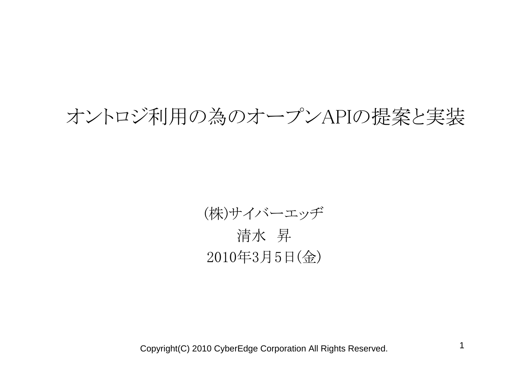## オントロジ利用の為のオープンAPIの提案と実装

(株)サイバーエッヂ 清水 昇 2010年3月5日(金)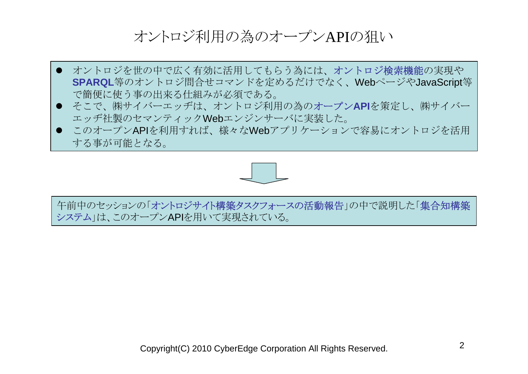## オントロジ利用の為のオープンAPIの狙い

- オントロジを世の中で広く有効に活用してもらう為には、オントロジ検索機能の実現や **SPARQL**等のオントロジ問合せコマンドを定めるだけでなく、WebページやJavaScript等 で簡便に使う事の出来る仕組みが必須である。
- **●** そこで、㈱サイバーエッヂは、オントロジ利用の為のオープンAPIを策定し、㈱サイバー エッヂ社製のセマンティックWebエンジンサーバに実装した。
- このオープンAPIを利用すれば、様々なWebアプリケーションで容易にオントロジを活用 する事が可能となる。



午前中のセッションの「オントロジサイト構築タスクフォースの活動報告」の中で説明した「集合知構築 システム」は、このオープンAPIを用いて実現されている。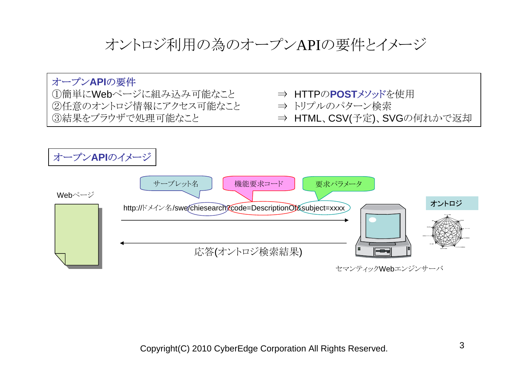オントロジ利用の為のオープンAPIの要件とイメージ

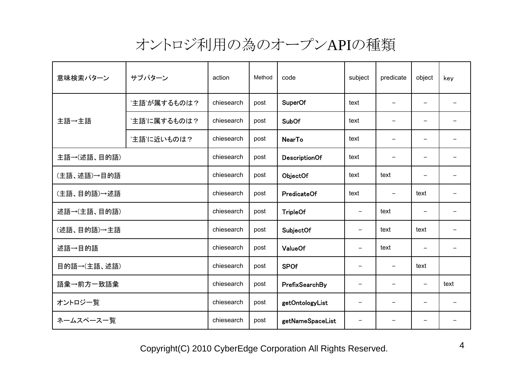## オントロジ利用の為のオープンAPIの種類

| 意味検索パターン    | サブパターン       | action     | Method | code                 | subject                  | predicate | object                   | key  |
|-------------|--------------|------------|--------|----------------------|--------------------------|-----------|--------------------------|------|
| 主語→主語       | '主語'が属するものは? | chiesearch | post   | <b>SuperOf</b>       | text                     |           |                          |      |
|             | '主語'に属するものは? | chiesearch | post   | <b>SubOf</b>         | text                     |           |                          |      |
|             | '主語'に近いものは?  | chiesearch | post   | <b>NearTo</b>        | text                     |           |                          |      |
| 主語→(述語、目的語) |              | chiesearch | post   | <b>DescriptionOf</b> | text                     |           |                          |      |
| (主語、述語)→目的語 |              | chiesearch | post   | ObjectOf             | text                     | text      |                          |      |
| (主語、目的語)→述語 |              | chiesearch | post   | PredicateOf          | text                     |           | text                     |      |
| 述語→(主語、目的語) |              | chiesearch | post   | <b>TripleOf</b>      |                          | text      |                          |      |
| (述語、目的語)→主語 |              | chiesearch | post   | SubjectOf            |                          | text      | text                     |      |
| 述語→目的語      |              | chiesearch | post   | <b>ValueOf</b>       |                          | text      |                          |      |
| 目的語→(主語、述語) |              | chiesearch | post   | <b>SPOf</b>          |                          |           | text                     |      |
| 語彙→前方一致語彙   |              | chiesearch | post   | PrefixSearchBy       | $\overline{\phantom{m}}$ |           | $\overline{\phantom{m}}$ | text |
| オントロジー覧     |              | chiesearch | post   | getOntologyList      | $\overline{\phantom{m}}$ | -         | $\qquad \qquad -$        |      |
| ネームスペース一覧   |              | chiesearch | post   | getNameSpaceList     | $\overline{\phantom{m}}$ |           |                          |      |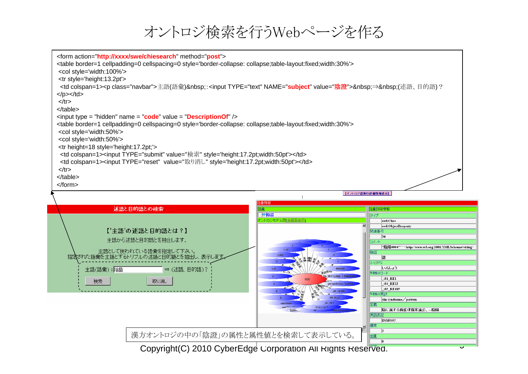オントロジ検索を行うWebページを作る

| <form action="http://xxxx/swe/chiesearch" method="post"><br/><table border="1" cellpadding="0" cellspacing="0" style="border-collapse: collapse;table-layout:fixed;width:30%"><br/><col style="width:100%"/><br/><tr style="height:13.2pt"></tr></table></form> |                                                                                                                                            |
|-----------------------------------------------------------------------------------------------------------------------------------------------------------------------------------------------------------------------------------------------------------------|--------------------------------------------------------------------------------------------------------------------------------------------|
|                                                                                                                                                                                                                                                                 |                                                                                                                                            |
| <td colspan="1"><p class="navbar">主語(語彙) ∶<input name="&lt;mark&gt;subject&lt;/mark&gt;" type="text" value="&lt;mark&gt;陰證&lt;/mark&gt;"/> ⇒ (述語、目的語)?</p></td>                                                                                                 | <p class="navbar">主語(語彙) ∶<input name="&lt;mark&gt;subject&lt;/mark&gt;" type="text" value="&lt;mark&gt;陰證&lt;/mark&gt;"/> ⇒ (述語、目的語)?</p> |
| $<$ /p> $<$ /td><br>$\langle tr \rangle$                                                                                                                                                                                                                        |                                                                                                                                            |
| $<$ /table $>$                                                                                                                                                                                                                                                  |                                                                                                                                            |
| $\alpha$ input type = "hidden" name = "code" value = "Description Of" $\beta$                                                                                                                                                                                   |                                                                                                                                            |
| <table border="1" cellpadding="0" cellspacing="0" style="border-collapse: collapse;table-layout:fixed;width:30%"></table>                                                                                                                                       |                                                                                                                                            |
| <col style="width:50%"/>                                                                                                                                                                                                                                        |                                                                                                                                            |
| <col style="width:50%"/><br><tr height="18" style="height:17.2pt;"></tr>                                                                                                                                                                                        |                                                                                                                                            |
|                                                                                                                                                                                                                                                                 |                                                                                                                                            |
| <td colspan="1"><input style="height:17.2pt;width:50pt" type="submit" value="検索"/></td>                                                                                                                                                                         | <input style="height:17.2pt;width:50pt" type="submit" value="検索"/>                                                                         |
| <td colspan="1"><input style="height:17.2pt;width:50pt" type="reset" value="取り消し"/></td>                                                                                                                                                                        | <input style="height:17.2pt;width:50pt" type="reset" value="取り消し"/>                                                                        |
| $<$ /tr $>$                                                                                                                                                                                                                                                     |                                                                                                                                            |
| $\lt$ /table>                                                                                                                                                                                                                                                   |                                                                                                                                            |
| $<$ form $>$                                                                                                                                                                                                                                                    |                                                                                                                                            |

【オントロジ語業の詳細情報表示】

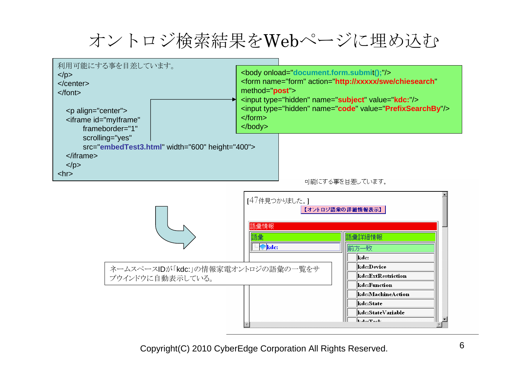オントロジ検索結果をWebページに埋め込む